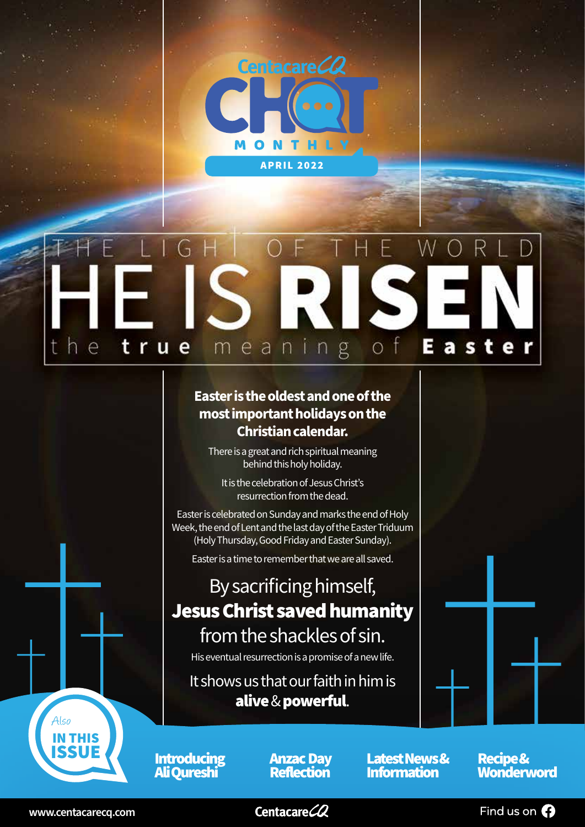

### $\overline{u}$ E t r e  $g$ a s meanin  $\circ$ е

### **Easter is the oldest and one of the most important holidays on the Christian calendar.**

There is a great and rich spiritual meaning behind this holy holiday.

It is the celebration of Jesus Christ's resurrection from the dead.

Easter is celebrated on Sunday and marks the end of Holy Week, the end of Lent and the last day of the Easter Triduum (Holy Thursday, Good Friday and Easter Sunday).

Easter is a time to remember that we are all saved.

## By sacrificing himself, Jesus Christ saved humanity from the shackles of sin.

His eventual resurrection is a promise of a new life.

It shows us that our faith in him is alive & powerful.



**Reflection** 

Latest News & Information Recipe &

**Wonderword** 

IN THIS ISSUE

Also

CentacareCQ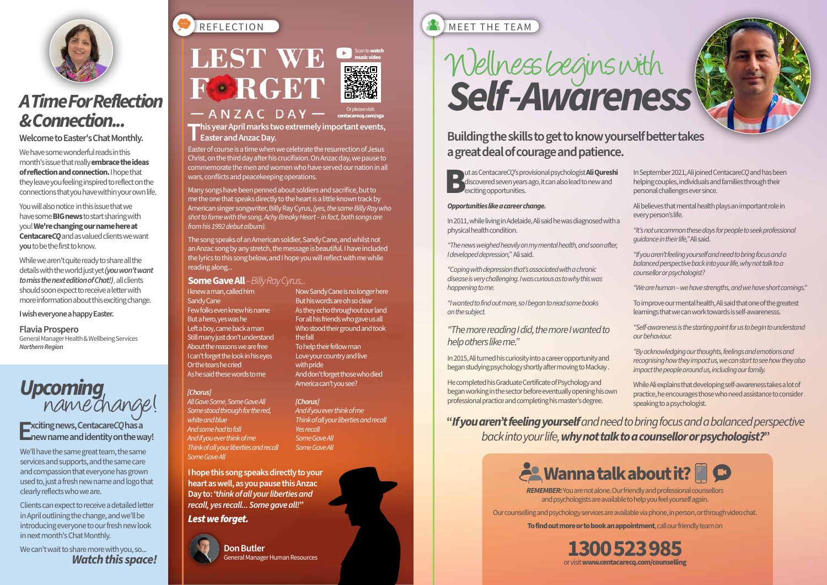### **Welcome to Easter's Chat Monthly.**

We have some wonderful reads in this month's issue that really **embrace the ideas of reflection and connection.** I hope that they leave you feeling inspired to reflect on the connections that you have within your own life.

You will also notice in this issue that we have some **BIG news** to start sharing with you! **We're changing our name here at Centacare***CQ*and as valued clients we want **you** to be the first to know.

While we aren't quite ready to share all the details with the world just yet*(you won't want to miss the next edition of Chat!) ,* all clients should soon expect to receive a letter with more information about this exciting change.

But as Centacare*CQ*'s provisional psychologist **Ali Qureshi**  discovered seven years ago, it can also lead to new and **Exciting opportunities.** 

**I wish everyone a happy Easter.** 

**Flavia Prospero**

General Manager Health & Wellbeing Services *Northern Region*

# Upcoming<br>name change!



# *A Time For Reflection & Connection...*

**Don Butler** General Manager Human Resources

# REFLECTION

# LEST WE FORGET



centacarecq.com/sga

## $-MZACDAY -$

# Wellness begins with *Self -Awareness*

## **Building the skills to get to know yourself better takes a great deal of courage and patience.**

## **"***If you aren't feeling yourself and need to bring focus and a balanced perspective back into your life, why not talk to a counsellor or psychologist?***"**

# MEET THE TEAM

### *Opportunities like a career change.*

In 2011, while living in Adelaide, Ali said he was diagnosed with a physical health condition.

*"The news weighed heavily on my mental health, and soon after, I developed depression,"* Ali said.

*"Coping with depression that's associated with a chronic disease is very challenging. I was curious as to why this was happening to me.* 

I knew a man, called him Sandy Cane Few folks even knew his name But a hero, yes was he Left a boy, came back a man Still many just don't understand About the reasons we are free I can't forget the look in his eyes Or the tears he cried As he said these words to me

*"I wanted to find out more, so I began to read some books on the subject.*

### *"The more reading I did, the more I wanted to help others like me."*

In 2015, Ali turned his curiosity into a career opportunity and began studying psychology shortly after moving to Mackay .

He completed his Graduate Certificate of Psychology and began working in the sector before eventually opening his own professional practice and completing his master's degree.

In September 2021, Ali joined Centacare*CQ* and has been helping couples, individuals and families through their personal challenges ever since.

Ali believes that mental health plays an important role in every person's life.

*"It's not uncommon these days for people to seek professional guidance in their life,"* Ali said.

*"If you aren't feeling yourself and need to bring focus and a balanced perspective back into your life, why not talk to a counsellor or psychologist?*

*"We are human – we have strengths, and we have short comings."*

To improve our mental health, Ali said that one of the greatest learnings that we can work towards is self-awarenesss.

We can't wait to share more with you, so... *Watch this space!*

*"Self-awareness is the starting point for us to begin to understand our behaviour.* 

*"By acknowledging our thoughts, feelings and emotions and recognising how they impact us, we can start to see how they also impact the people around us, including our family.*

While Ali explains that developing self-awareness takes a lot of practice, he encourages those who need assistance to consider speaking to a psychologist.



### *[Chorus]*

*All Gave Some, Some Gave All Some stood through for the red, white and blue And some had to fall And if you ever think of me Think of all your liberties and recall Some Gave All*

Now Sandy Cane is no longer here

### But his words are oh so clear As they echo throughout our land For all his friends who gave us all Who stood their ground and took the fall To help their fellow man Love your country and live with pride And don't forget those who died America can't you see?

### *[Chorus]*

*And if you ever think of me Think of all your liberties and recall*

*Yes recall Some Gave All Some Gave All*



**This year April marks two extremely important events, Easter and Anzac Day.**

Easter of course is a time when we celebrate the resurrection of Jesus Christ, on the third day after his crucifixion. On Anzac day, we pause to commemorate the men and women who have served our nation in all wars, conflicts and peacekeeping operations.

Many songs have been penned about soldiers and sacrifice, but to me the one that speaks directly to the heart is a little known track by American singer songwriter, Billy Ray Cyrus, *(yes, the same Billy Ray who shot to fame with the song, Achy Breaky Heart – in fact, both songs are from his 1992 debut album).* 

The song speaks of an American soldier, Sandy Cane, and whilst not an Anzac song by any stretch, the message is beautiful. I have included the lyrics to this song below, and I hope you will reflect with me while reading along...

### **Some Gave All** *– Billy Ray Cyrus...*

**I hope this song speaks directly to your heart as well, as you pause this Anzac Day to: 't***hink of all your liberties and recall, yes recall... Some gave all!***"**

### *Lest we forget.*



### **Exciting news, Centacare***CQ* **has a new name and identity on the way!**

We'll have the same great team, the same services and supports, and the same care and compassion that everyone has grown used to, just a fresh new name and logo that clearly reflects who we are.

Clients can expect to receive a detailed letter in April outlining the change, and we'll be introducing everyone to our fresh new look in next month's Chat Monthly.



*REMEMBER:* You are not alone. Our friendly and professional counsellors and psychologists are available to help you feel yourself again.

Our counselling and psychology services are available via phone, in person, or through video chat.

**To find out more or to book an appointment**, call our friendly team on